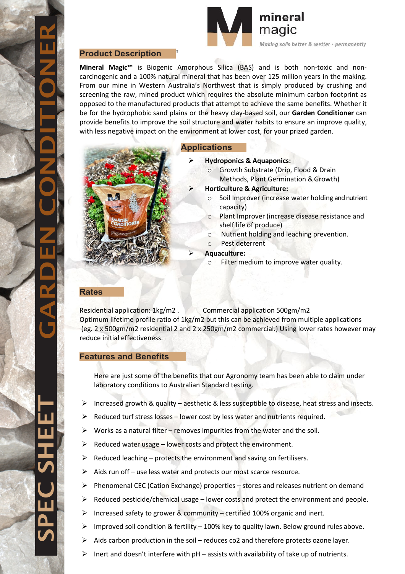



#### **Product Description †**

**Mineral Magic<sup>™</sup>** is Biogenic Amorphous Silica (BAS) and is both non-toxic and noncarcinogenic and a 100% natural mineral that has been over 125 million years in the making. From our mine in Western Australia's Northwest that is simply produced by crushing and screening the raw, mined product which requires the absolute minimum carbon footprint as opposed to the manufactured products that attempt to achieve the same benefits. Whether it be for the hydrophobic sand plains or the heavy clay-based soil, our **Garden Conditioner** can provide benefits to improve the soil structure and water habits to ensure an improve quality, with less negative impact on the environment at lower cost, for your prized garden.



# **Applications**

- **Hydroponics & Aquaponics:**
	- o Growth Substrate (Drip, Flood & Drain Methods, Plant Germination & Growth)
- **Horticulture & Agriculture:**
	- o Soil Improver (increase water holding and nutrient capacity)
	- o Plant Improver (increase disease resistance and shelf life of produce)
	- o Nutrient holding and leaching prevention.
	- o Pest deterrent
	- **Aquaculture:**
		- o Filter medium to improve water quality.

#### **Rates**

Residential application: 1kg/m2 . Commercial application 500gm/m2 Optimum lifetime profile ratio of 1kg/m2 but this can be achieved from multiple applications (eg. 2 x 500gm/m2 residential 2 and 2 x 250gm/m2 commercial.) Using lower rates however may reduce initial effectiveness.

## **Features and Benefits**

Here are just some of the benefits that our Agronomy team has been able to claim under laboratory conditions to Australian Standard testing.

- $\triangleright$  Increased growth & quality aesthetic & less susceptible to disease, heat stress and insects.
- Reduced turf stress losses lower cost by less water and nutrients required.
- Works as a natural filter removes impurities from the water and the soil.
- $\triangleright$  Reduced water usage lower costs and protect the environment.
- $\triangleright$  Reduced leaching protects the environment and saving on fertilisers.
- $\triangleright$  Aids run off use less water and protects our most scarce resource.
- $\triangleright$  Phenomenal CEC (Cation Exchange) properties stores and releases nutrient on demand
- Reduced pesticide/chemical usage lower costs and protect the environment and people.
- Increased safety to grower & community certified 100% organic and inert.
- $\triangleright$  Improved soil condition & fertility 100% key to quality lawn. Below ground rules above.
- $\triangleright$  Aids carbon production in the soil reduces co2 and therefore protects ozone layer.
- Inert and doesn't interfere with pH assists with availability of take up of nutrients.